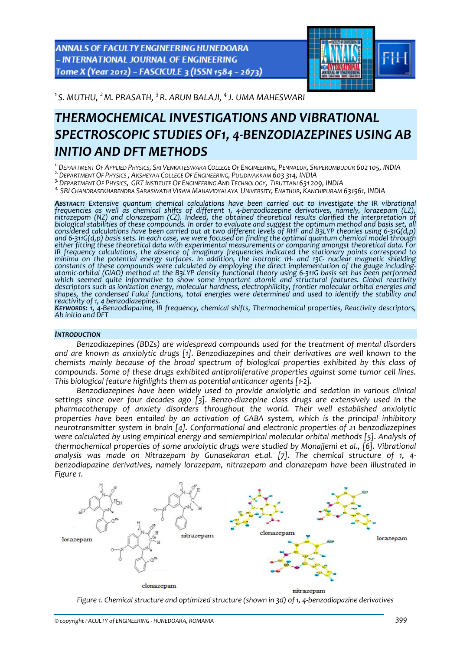ANNALS OF FACULTY ENGINEERING HUNEDOARA - INTERNATIONAL JOURNAL OF ENGINEERING Tome X (Year 2012) - FASCICULE 3 (ISSN 1584 - 2673)



*1 S. MUTHU, <sup>2</sup> M. PRASATH, <sup>3</sup> R. ARUN BALAJI, <sup>4</sup> J. UMA MAHESWARI* 

# *THERMOCHEMICAL INVESTIGATIONS AND VIBRATIONAL SPECTROSCOPIC STUDIES OF1, 4‐BENZODIAZEPINES USING AB INITIO AND DFT METHODS*

<sup>1.</sup> DEPARTMENT OF APPLIED PHYSICS, SRI VENKATESWARA COLLEGE OF ENGINEERING, PENNALUR, SRIPERUMBUDUR 602 105, INDIA<br><sup>2.</sup> DEPARTMENT OF PHYSICS , AKSHEYAA COLLEGE OF ENGINEERING, PULIDIVAKKAM 603 314, INDIA<br><sup>3.</sup> DEPARTMENT

<sup>4.</sup> SRI CHANDRASEKHARENDRA SARASWATHI VISWA MAHAVIDYALAYA UNIVERSITY, ENATHUR, KANCHIPURAM 631561, INDIA

*ABSTRACT: Extensive quantum chemical calculations have been carried out to investigate the IR vibrational* Historical statement of the members of different 1, 4-benzodiazepine derivatives, namely, lorazepam (LZ), intrazepam (NZ) and clonazepam (CZ). Indeed, the obtained theoretical results clarified the interpretation of biolog and 6-311G(d,p) basis sets. In each case, we were focused on finding the optimal quantum chemical model through<br>either fitting these theoretical data with experimental measurements or comparing amongst theoretical data. Fo *IR frequency calculations, the absence of imaginary frequencies indicated the stationary points correspond to* minima on the potential energy surfaces. In addition, the isotropic 1H- and 13C- nuclear magnetic shielding constants of these compounds were calculated by employing the direct implementation of the gauge including-<br>atomic-orbital (GIAO) method at the B3LYP density functional theory using 6-311G basis set has been performed<br>whic *shapes,* the condensed *Fukui* functions, total energies were determined and used to identify the stability and shapes, the condensed Fukui functions, total energies were determined and used to identify the stability and

KEYWORDS: 1, 4-Benzodiapazine, IR frequency, chemical shifts, Thermochemical properties, Reactivity descriptors,<br>Ab initio and DFT

## *INTRODUCTION*

*Benzodiazepines (BDZs) are widespread compounds used for the treatment of mental disorders and are known as anxiolytic drugs [1]. Benzodiazepines and their derivatives are well known to the chemists mainly because of the broad spectrum of biological properties exhibited by this class of compounds. Some of these drugs exhibited antiproliferative properties against some tumor cell lines. This biological feature highlights them as potential anticancer agents [1‐2].* 

*Benzodiazepines have been widely used to provide anxiolytic and sedation in various clinical settings since over four decades ago [3]. Benzo‐diazepine class drugs are extensively used in the pharmacotherapy of anxiety disorders throughout the world. Their well established anxiolytic properties have been entailed by an activation of GABA system, which is the principal inhibitory neurotransmitter system in brain [4]. Conformational and electronic properties of 21 benzodiazepines were calculated by using empirical energy and semiempirical molecular orbital methods [5]. Analysis of thermochemical properties of some anxiolytic drugs were studied by Monajjemi et al., [6]. Vibrational analysis was made on Nitrazepam by Gunasekaran et.al. [7]. The chemical structure of 1, 4‐ benzodiapazine derivatives, namely lorazepam, nitrazepam and clonazepam have been illustrated in Figure 1.*



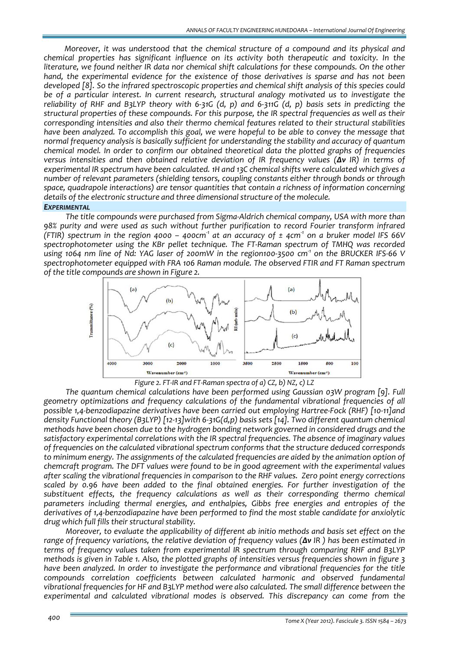*Moreover, it was understood that the chemical structure of a compound and its physical and chemical properties has significant influence on its activity both therapeutic and toxicity. In the literature, we found neither IR data nor chemical shift calculations for these compounds. On the other hand, the experimental evidence for the existence of those derivatives is sparse and has not been developed [8]. So the infrared spectroscopic properties and chemical shift analysis of this species could be of a particular interest. In current research, structural analogy motivated us to investigate the* reliability of RHF and B3LYP theory with 6-31G (d, p) and 6-311G (d, p) basis sets in predicting the *structural properties of these compounds. For this purpose, the IR spectral frequencies as well as their corresponding intensities and also their thermo chemical features related to their structural stabilities have been analyzed. To accomplish this goal, we were hopeful to be able to convey the message that normal frequency analysis is basically sufficient for understanding the stability and accuracy of quantum chemical model. In order to confirm our obtained theoretical data the plotted graphs of frequencies versus intensities and then obtained relative deviation of IR frequency values (Δν IR) in terms of experimental IR spectrum have been calculated. 1H and 13C chemical shifts were calculated which gives a number of relevant parameters (shielding tensors, coupling constants either through bonds or through space, quadrapole interactions) are tensor quantities that contain a richness of information concerning details of the electronic structure and three dimensional structure of the molecule. EXPERIMENTAL*

*The title compounds were purchased from Sigma‐Aldrich chemical company, USA with more than 98% purity and were used as such without further purification to record Fourier transform infrared* (FTIR) spectrum in the region 4000 - 400cm<sup>1</sup> at an accuracy of  $\pm$  4cm<sup>1</sup> on a bruker model IFS 66V *spectrophotometer using the KBr pellet technique. The FT‐Raman spectrum of TMHQ was recorded* using 1064 nm line of Nd: YAG laser of 200mW in the region100-3500 cm<sup>-1</sup> on the BRUCKER IFS-66 V *spectrophotometer equipped with FRA 106 Raman module. The observed FTIR and FT Raman spectrum of the title compounds are shown in Figure 2.*



*Figure 2. FT‐IR and FT‐Raman spectra of a) CZ, b) NZ, c) LZ*

*The quantum chemical calculations have been performed using Gaussian 03W program [9]. Full geometry optimizations and frequency calculations of the fundamental vibrational frequencies of all possible 1,4‐benzodiapazine derivatives have been carried out employing Hartree‐Fock (RHF) [10‐11]and density Functional theory (B3LYP) [12‐13]with 6‐31G(d,p) basis sets [14]. Two different quantum chemical methods have been chosen due to the hydrogen bonding network governed in considered drugs and the satisfactory experimental correlations with the IR spectral frequencies. The absence of imaginary values of frequencies on the calculated vibrational spectrum conforms that the structure deduced corresponds to minimum energy. The assignments of the calculated frequencies are aided by the animation option of chemcraft program. The DFT values were found to be in good agreement with the experimental values after scaling the vibrational frequencies in comparison to the RHF values. Zero point energy corrections scaled by 0.96 have been added to the final obtained energies. For further investigation of the substituent effects, the frequency calculations as well as their corresponding thermo chemical parameters including thermal energies, and enthalpies, Gibbs free energies and entropies of the derivatives of 1,4‐benzodiapazine have been performed to find the most stable candidate for anxiolytic drug which full fills their structural stability.*

*Moreover, to evaluate the applicability of different ab initio methods and basis set effect on the* range of frequency variations, the relative deviation of frequency values ( $\Delta v$  IR) has been estimated in *terms of frequency values taken from experimental IR spectrum through comparing RHF and B3LYP* methods is given in Table 1. Also, the plotted graphs of intensities versus frequencies shown in figure 3 *have been analyzed. In order to investigate the performance and vibrational frequencies for the title compounds correlation coefficients between calculated harmonic and observed fundamental vibrational frequencies for HF and B3LYP method were also calculated. The small difference between the experimental and calculated vibrational modes is observed. This discrepancy can come from the*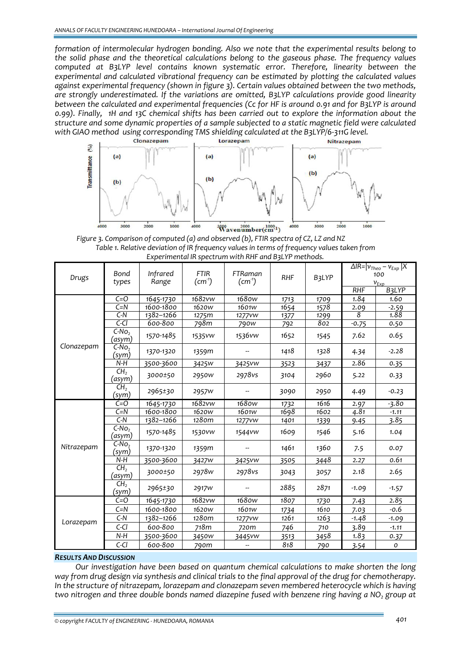*formation of intermolecular hydrogen bonding. Also we note that the experimental results belong to the solid phase and the theoretical calculations belong to the gaseous phase. The frequency values computed at B3LYP level contains known systematic error. Therefore, linearity between the experimental and calculated vibrational frequency can be estimated by plotting the calculated values against experimental frequency (shown in figure 3). Certain values obtained between the two methods, are strongly underestimated. If the variations are omitted, B3LYP calculations provide good linearity between the calculated and experimental frequencies (Cc for HF is around 0.91 and for B3LYP is around* 0.99). Finally, 1H and 13C chemical shifts has been carried out to explore the information about the *structure and some dynamic properties of a sample subjected to a static magnetic field were calculated with GIAO method using corresponding TMS shielding calculated at the B3LYP/6‐311G level.*



*Figure 3. Comparison of computed (a) and observed (b), FTIR spectra of CZ, LZ and NZ Table 1. Relative deviation of IR frequency values in terms of frequency values taken from Experimental IR spectrum with RHF and B3LYP methods.*

| Drugs      | Bond<br>types                                            | Infrared<br>Range | FTIR<br>$(cm-1)$  | FTRaman<br>$(cm-1)$ | <b>RHF</b> | B3LYP | $\Delta$ IR= $ v_{Theo} - v_{Exp} X$<br>100<br>$v_{Exp}$ |         |
|------------|----------------------------------------------------------|-------------------|-------------------|---------------------|------------|-------|----------------------------------------------------------|---------|
|            |                                                          |                   |                   |                     |            |       | RHF                                                      | B3LYP   |
|            | $C = O$                                                  | 1645-1730         | 1682vw            | 1680w               | 1713       | 1709  | 1.84                                                     | 1.60    |
|            | $C=N$                                                    | 1600-1800         | 1620 <sub>W</sub> | 1601 <sub>W</sub>   | 1654       | 1578  | 2.09                                                     | $-2.59$ |
|            | $C-N$                                                    | 1382-1266         | 1275m             | 1277vw              | 1377       | 1299  | 8                                                        | 1.88    |
|            | $C-CI$                                                   | 600-800           | 798m              | 790 <sub>w</sub>    | 792        | 802   | $-0.75$                                                  | 0.50    |
|            | $C-No2$<br>(asym)                                        | 1570-1485         | 1535vw            | 1536vw              | 1652       | 1545  | 7.62                                                     | 0.65    |
| Clonazepam | $C-No2$<br>(sym)                                         | 1370-1320         | 1359m             |                     | 1418       | 1328  | 4.34                                                     | $-2.28$ |
|            | $N-H$                                                    | 3500-3600         | 3425W             | 3425vw              | 3523       | 3437  | 2.86                                                     | 0.35    |
|            | CH <sub>2</sub><br>(asym)                                | 3000±50           | 2950w             | 2978vs              | 3104       | 2960  | 5.22                                                     | 0.33    |
|            | CH <sub>2</sub><br>$\left(\underline{\text{sym}}\right)$ | 2965±30           | 2957 <sub>w</sub> |                     | 3090       | 2950  | 4.49                                                     | $-0.23$ |
|            | $C=O$                                                    | 1645-1730         | 1682vw            | 1680w               | 1732       | 1616  | 2.97                                                     | $-3.80$ |
|            | $C=\overline{N}$                                         | 1600-1800         | 1620 <sub>W</sub> | 1601 <sub>W</sub>   | 1698       | 1602  | 4.81                                                     | $-1.11$ |
|            | $C-N$                                                    | 1382-1266         | 1280m             | 1277 <i>vw</i>      | 1401       | 1339  | 9.45                                                     | 3.85    |
|            | $C-No2$<br>(asym)                                        | 1570-1485         | 1530vw            | 1544vw              | 1609       | 1546  | 5.16                                                     | 1.04    |
| Nitrazepam | $C-No2$<br>(sym)                                         | 1370-1320         | 1359m             |                     | 1461       | 1360  | 7.5                                                      | 0.07    |
|            | $N-H$                                                    | 3500-3600         | 3427 <sub>w</sub> | 3425vw              | 3505       | 3448  | 2.27                                                     | 0.61    |
|            | CH <sub>2</sub><br>(asym)                                | 3000±50           | 2978w             | 2978vs              | 3043       | 3057  | 2.18                                                     | 2.65    |
|            | CH <sub>2</sub><br>(sym)                                 | 2965±30           | 2917 <sub>W</sub> |                     | 2885       | 2871  | $-1.09$                                                  | $-1.57$ |
| Lorazepam  | $C = O$                                                  | 1645-1730         | 1682vw            | 1680w               | 1807       | 1730  | 7.43                                                     | 2.85    |
|            | $C=N$                                                    | 1600-1800         | 1620 <sub>W</sub> | 1601 <sub>W</sub>   | 1734       | 1610  | 7.03                                                     | -0.6    |
|            | $C-N$                                                    | 1382-1266         | 1280m             | 1277vw              | 1261       | 1263  | $-1.48$                                                  | $-1.09$ |
|            | $C-CI$                                                   | 600-800           | 718m              | 720m                | 746        | 710   | 3.89                                                     | $-1.11$ |
|            | $N-H$                                                    | 3500-3600         | 3450w             | 3445vw              | 3513       | 3458  | 1.83                                                     | 0.37    |
|            | $C-CI$                                                   | 600-800           | 790m              |                     | 818        | 790   | 3.54                                                     | 0       |

#### *RESULTS AND DISCUSSION*

*Our investigation have been based on quantum chemical calculations to make shorten the long* way from drug design via synthesis and clinical trials to the final approval of the drug for chemotherapy. *In the structure of nitrazepam, lorazepam and clonazepam seven membered heterocycle which is having two nitrogen and three double bonds named diazepine fused with benzene ring having a NO2 group at*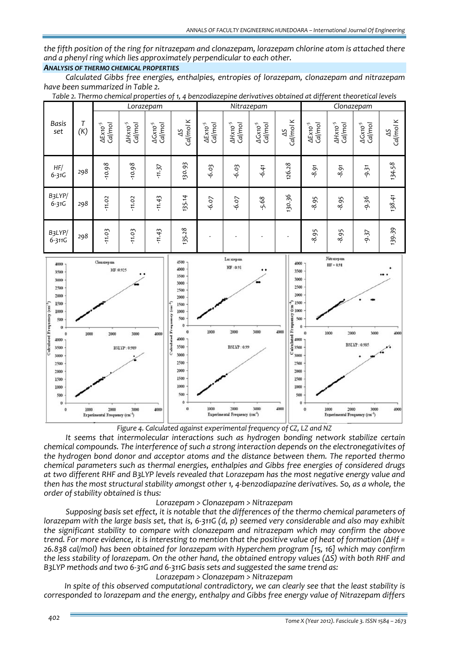*the fifth position of the ring for nitrazepam and clonazepam, lorazepam chlorine atom is attached there and a phenyl ring which lies approximately perpendicular to each other.*

# *ANALYSIS OF THERMO CHEMICAL PROPERTIES*

*Calculated Gibbs free energies, enthalpies, entropies of lorazepam, clonazepam and nitrazepam have been summarized in Table 2.* 

|                      |          | Lorazepam                          |                               |                                         |                 | Nitrazepam                     |                                         |                                 |                              | Clonazepam                         |                                    |                                         |                |
|----------------------|----------|------------------------------------|-------------------------------|-----------------------------------------|-----------------|--------------------------------|-----------------------------------------|---------------------------------|------------------------------|------------------------------------|------------------------------------|-----------------------------------------|----------------|
| <b>Basis</b><br>set  | T<br>(K) | Cal/mol<br>$\Delta E$ x 10 $^{-5}$ | Cal/mol<br>$\Delta$ Hx10 $^5$ | $\Delta G$ x10 <sup>-5</sup><br>Cal/mol | Cal/mol K<br>SP | Cal/mol<br>$\Delta E$ x10 $^5$ | $\Delta H$ X10 <sup>-5</sup><br>Cal/mol | Cal/mol<br>$\Delta G$ x 10 $^5$ | $\frac{\Delta S}{Cal/mol}$ K | Cal/mol<br>$\Delta E$ x 10 $^{-5}$ | Cal/mol<br>$\Delta H$ x to $^{-5}$ | $\Delta G$ x10 <sup>-5</sup><br>Cal/mol | Cal/mol K<br>S |
| HF/<br>$6 - 31G$     | 298      | $-10.98$                           | $-10.98$                      | $-11.37$                                | 130.93          | $-6.03$                        | $-6.03$                                 | $-6.41$                         | 126.28                       | $-8.91$                            | $-8.91$                            | $-9.31$                                 | 134.58         |
| B3LYP/<br>$6 - 31G$  | 298      | $-11.02$                           | $-11.02$                      | $-11.43$                                | 135.14          | $-6.07$                        | $-6.07$                                 | -5.68                           | 130.36                       | $-8.95$                            | $-8.95$                            | $-9.36$                                 | 138.41         |
| B3LYP/<br>$6 - 311G$ | 298      | $-11.03$                           | $-11.03$                      | $-11.43$                                | 135.28          |                                |                                         |                                 |                              | $-8.95$                            | $-8.95$                            | $-9.37$                                 | 139.39         |

*Table 2. Thermo chemical properties of 1, 4 benzodiazepine derivatives obtained at different theoretical levels*



*Figure 4. Calculated against experimental frequency of CZ, LZ and NZ*

*It seems that intermolecular interactions such as hydrogen bonding network stabilize certain chemical compounds. The interference of such a strong interaction depends on the electronegativites of the hydrogen bond donor and acceptor atoms and the distance between them. The reported thermo chemical parameters such as thermal energies, enthalpies and Gibbs free energies of considered drugs at two different RHF and B3LYP levels revealed that Lorazepam has the most negative energy value and* then has the most structural stability amongst other 1, 4-benzodiapazine derivatives. So, as a whole, the *order of stability obtained is thus:*

## *Lorazepam > Clonazepam > Nitrazepam*

*Supposing basis set effect, it is notable that the differences of the thermo chemical parameters of* lorazepam with the large basis set, that is, 6-311G (d, p) seemed very considerable and also may exhibit *the significant stability to compare with clonazepam and nitrazepam which may confirm the above* trend. For more evidence, it is interesting to mention that the positive value of heat of formation ( $\Delta Hf =$ *26.838 cal/mol) has been obtained for lorazepam with Hyperchem program [15, 16] which may confirm* the less stability of lorazepam. On the other hand, the obtained entropy values ( $\Delta S$ ) with both RHF and *B3LYP methods and two 6‐31G and 6‐311G basis sets and suggested the same trend as:*

## *Lorazepam > Clonazepam > Nitrazepam*

*In spite of this observed computational contradictory, we can clearly see that the least stability is corresponded to lorazepam and the energy, enthalpy and Gibbs free energy value of Nitrazepam differs*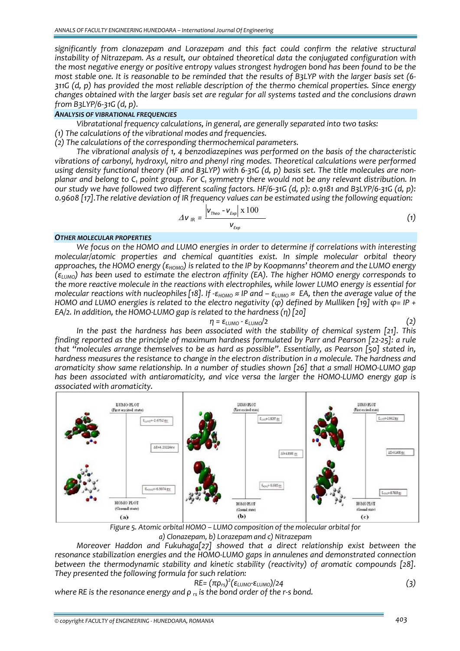*significantly from clonazepam and Lorazepam and this fact could confirm the relative structural instability of Nitrazepam. As a result, our obtained theoretical data the conjugated configuration with the most negative energy or positive entropy values strongest hydrogen bond has been found to be the* most stable one. It is reasonable to be reminded that the results of B3LYP with the larger basis set (6-*311G (d, p) has provided the most reliable description of the thermo chemical properties. Since energy changes obtained with the larger basis set are regular for all systems tasted and the conclusions drawn from B3LYP/6‐31G (d, p).*

# *ANALYSIS OF VIBRATIONAL FREQUENCIES*

*Vibratational frequency calculations, in general, are generally separated into two tasks:*

- *(1) The calculations of the vibrational modes and frequencies.*
- *(2) The calculations of the corresponding thermochemical parameters.*

*The vibrational analysis of 1, 4 benzodiazepines was performed on the basis of the characteristic vibrations of carbonyl, hydroxyl, nitro and phenyl ring modes. Theoretical calculations were performed* using density functional theory (HF and B3LYP) with 6-31G (d, p) basis set. The title molecules are nonplanar and belong to C<sub>1</sub> point group. For C<sub>1</sub> symmetry there would not be any relevant distribution. In our study we have followed two different scaling factors. HF/6-31G (d, p): 0.9181 and B3LYP/6-31G (d, p): *0.9608 [17].The relative deviation of IR frequency values can be estimated using the following equation:* 

$$
\Delta V_{IR} = \frac{\left| V_{Theo} - V_{Exp} \right| \times 100}{V_{Exp}} \tag{1}
$$

#### *OTHER MOLECULAR PROPERTIES*

*We focus on the HOMO and LUMO energies in order to determine if correlations with interesting molecular/atomic properties and chemical quantities exist. In simple molecular orbital theory* approaches, the HOMO energy ( $\epsilon_{HOMO}$ ) is related to the IP by Koopmanns' theorem and the LUMO energy  $(\epsilon_{LUMO})$  has been used to estimate the electron affinity (EA). The higher HOMO energy corresponds to *the more reactive molecule in the reactions with electrophiles, while lower LUMO energy is essential for* molecular reactions with nucleophiles [18]. If  $-\epsilon_{HOMO} \approx IP$  and  $-\epsilon_{LUMO} \approx EA$ , then the average value of the HOMO and LUMO energies is related to the electro negativity ( $\varphi$ ) defined by Mulliken [19] with  $\varphi$ = IP + *EA/2. In addition, the HOMO‐LUMO gap is related to the hardness (η)[20]*

$$
\eta = \varepsilon_{\text{LUMO}} - \varepsilon_{\text{LUMO}}/2 \tag{2}
$$

*In the past the hardness has been associated with the stability of chemical system [21]. This* finding reported as the principle of maximum hardness formulated by Parr and Pearson [22-25]: a rule *that "molecules arrange themselves to be as hard as possible". Essentially, as Pearson [50] stated in, hardness measures the resistance to change in the electron distribution in a molecule. The hardness and aromaticity show same relationship. In a number of studies shown [26] that a small HOMO‐LUMO gap has been associated with antiaromaticity, and vice versa the larger the HOMO‐LUMO energy gap is associated with aromaticity.* 



*Figure 5. Atomic orbital HOMO – LUMO composition of the molecular orbital for a) Clonazepam, b) Lorazepam and c) Nitrazepam*

*Moreover Haddon and Fukuhaga[27] showed that a direct relationship exist between the resonance stabilization energies and the HOMO‐LUMO gaps in annulenes and demonstrated connection between the thermodynamic stability and kinetic stability (reactivity) of aromatic compounds [28]. They presented the following formula for such relation:*

$$
RE = (\pi \rho_{rs})^2 (\epsilon_{LUMO} - \epsilon_{LUMO})/24
$$
\n(3)

*where RE is the resonance energy and ρ rs is the bond order of the r‐s bond.*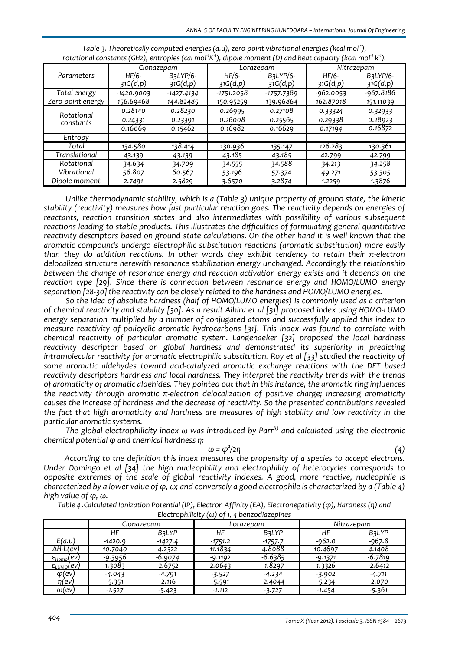|                   |              | Clonazepam   |            | Lorazepam          | Nitrazepam  |           |  |
|-------------------|--------------|--------------|------------|--------------------|-------------|-----------|--|
| Parameters        | $HF/6-$      | B3LYP/6-     | $HF/6-$    | $B3LYP/6-$         | $HF/6-$     | B3LYP/6-  |  |
|                   | 31G(d,p)     | 31G(d,p)     | 31G(d,p)   | 31G(d,p)           | 31G(d,p)    | 31G(d,p)  |  |
| Total energy      | $-1420.9003$ | $-1427.4134$ | -1751.2058 | <u>-1757.</u> 7389 | $-962.0053$ | -967.8186 |  |
| Zero-point energy | 156.69468    | 144.82485    | 150.95259  | 139.96864          | 162.87018   | 151.11039 |  |
| Rotational        | 0.28140      | 0.28230      | 0.26995    | 0.27108            | 0.33324     | 0.32933   |  |
| constants         | 0.24331      | 0.23391      | 0.26008    | 0.25565            | 0.29338     | 0.28923   |  |
|                   | 0.16069      | 0.15462      | 0.16982    | 0.16629            | 0.17194     | 0.16872   |  |
| Entropy           |              |              |            |                    |             |           |  |
| Total             | 134.580      | 138.414      | 130.936    | 135.147            | 126.283     | 130.361   |  |
| Translational     | 43.139       | 43.139       | 43.185     | 43.185             | 42.799      | 42.799    |  |
| Rotational        | 34.634       | 34.709       | 34.555     | 34.588             | 34.213      | 34.258    |  |
| Vibrational       | 56.807       | 60.567       | 53.196     | 57.374             | 49.271      | 53.305    |  |
| Dipole moment     | 2.7491       | 2.5829       | 3.6570     | 3.2874             | 1.2259      | 1.3876    |  |

| Table 3. Theoretically computed energies (a.u), zero-point vibrational energies (kcal mol <sup>-1</sup> ),                 |  |
|----------------------------------------------------------------------------------------------------------------------------|--|
| rotational constants (GHz), entropies (cal mol $^1$ K $^1$ ), dipole moment (D) and heat capacity (kcal mol $^1$ k $^1$ ). |  |

*Unlike thermodynamic stability, which is a (Table 3) unique property of ground state, the kinetic stability (reactivity) measures how fast particular reaction goes. The reactivity depends on energies of reactants, reaction transition states and also intermediates with possibility of various subsequent reactions leading to stable products. This illustrates the difficulties of formulating general quantitative reactivity descriptors based on ground state calculations. On the other hand it is well known that the aromatic compounds undergo electrophilic substitution reactions (aromatic substitution) more easily than they do addition reactions. In other words they exhibit tendency to retain their π‐electron delocalized structure herewith resonance stabilization energy unchanged. Accordingly the relationship between the change of resonance energy and reaction activation energy exists and it depends on the reaction type [29]. Since there is connection between resonance energy and HOMO/LUMO energy separation [28‐30]the reactivity can be closely related to the hardness and HOMO/LUMO energies.* 

*So the idea of absolute hardness (half of HOMO/LUMO energies) is commonly used as a criterion* of chemical reactivity and stability [30]. As a result Aihira et al [31] proposed index using HOMO-LUMO *energy separation multiplied by a number of conjugated atoms and successfully applied this index to measure reactivity of policyclic aromatic hydrocarbons [31]. This index was found to correlate with chemical reactivity of particular aromatic system. Langenaeker [32] proposed the local hardness reactivity descriptor based on global hardness and demonstrated its superiority in predicting intramolecular reactivity for aromatic electrophilic substitution. Roy et al [33] studied the reactivity of some aromatic aldehydes toward acid‐catalyzed aromatic exchange reactions with the DFT based reactivity descriptors hardness and local hardness. They interpret the reactivity trends with the trends of aromaticity of aromatic aldehides. They pointed out that in this instance, the aromatic ring influences the reactivity through aromatic π‐electron delocalization of positive charge; increasing aromaticity causes the increase of hardness and the decrease of reactivity. So the presented contributions revealed the fact that high aromaticity and hardness are measures of high stability and low reactivity in the particular aromatic systems.* 

*The global electrophilicity index ω was introduced by Parr<sup>33</sup> and calculated using the electronic chemical potential φ and chemical hardness η:*

$$
\omega = \varphi^2/2\eta
$$

*/2η (4) According to the definition this index measures the propensity of a species to accept electrons. Under Domingo et al [34] the high nucleophility and electrophility of heterocycles corresponds to opposite extremes of the scale of global reactivity indexes. A good, more reactive, nucleophile is* characterized by a lower value of  $\varphi$ , w; and conversely a good electrophile is characterized by a (Table 4) *high value of φ, ω.*

Table 4. Calculated Ionization Potential (IP), Electron Affinity (EA), Electronegativity ( $\varphi$ ), Hardness (n) and *Electrophilicity (ω) of 1, 4 benzodiazepines*

|                                 |                    | Clonazepam |           | Lorazepam    | Nitrazepam |              |  |
|---------------------------------|--------------------|------------|-----------|--------------|------------|--------------|--|
|                                 | НF<br><b>B3LYP</b> |            | НF        | <b>B3LYP</b> | НF         | <b>B3LYP</b> |  |
| E(a.u)                          | $-1420.9$          | $-1427.4$  | $-1751.2$ | $-1757.7$    | $-962.0$   | $-967.8$     |  |
| $\Delta H$ -L(ev)               | 10.7040            | 4.2322     | 11.1834   | 4.8088       | 10.4697    | 4.1408       |  |
| $\varepsilon_{\text{Homo}}(ev)$ | -9.3956            | $-6.9074$  | $-9.1192$ | $-6.6385$    | $-9.1371$  | $-6.7819$    |  |
| <u>ε<sub>ιυмο</sub>(ev)</u>     | 1.3083             | $-2.6752$  | 2.0643    | -1.8297      | 1.3326     | $-2.6412$    |  |
| $\varphi$ (ev)                  | $-4.043$           | $-4.791$   | $-3.527$  | $-4.234$     | $-3.902$   | $-4.711$     |  |
| n(ev)                           | $-5.351$           | $-2.116$   | $-5.591$  | $-2.4044$    | $-5.234$   | $-2.070$     |  |
| $\omega$ (ev)                   | $-1.527$           | $-5.423$   | $-1.112$  | $-3.727$     | $-1.454$   | $-5.361$     |  |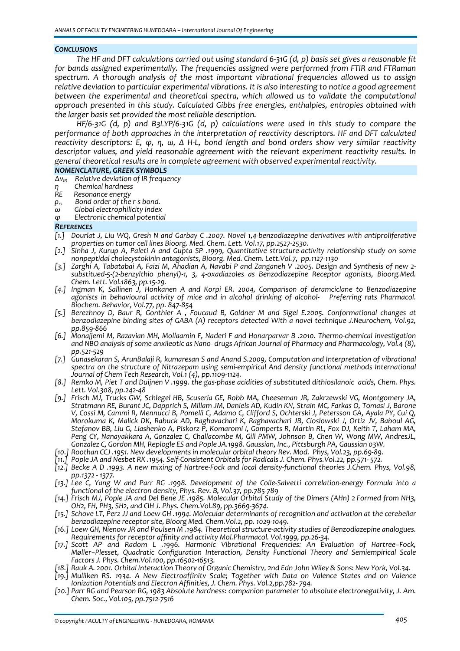#### *CONCLUSIONS*

The HF and DFT calculations carried out using standard 6-31G (d, p) basis set gives a reasonable fit *for bands assigned experimentally. The frequencies assigned were performed from FTIR and FTRaman spectrum. A thorough analysis of the most important vibrational frequencies allowed us to assign relative deviation to particular experimental vibrations. It is also interesting to notice a good agreement between the experimental and theoretical spectra, which allowed us to validate the computational approach presented in this study. Calculated Gibbs free energies, enthalpies, entropies obtained with the larger basis set provided the most reliable description.* 

 $HF/6-31G$  (d, p) and B3LYP/6-31G (d, p) calculations were used in this study to compare the *performance of both approaches in the interpretation of reactivity descriptors. HF and DFT calculated* reactivity descriptors: E,  $\varphi$ , n,  $\omega$ ,  $\Delta$  H-L, bond length and bond orders show very similar reactivity *descriptor values, and yield reasonable agreement with the relevant experiment reactivity results. In general theoretical results are in complete agreement with observed experimental reactivity.*

## *NOMENCLATURE, GREEK SYMBOLS*

- *∆νIR Relative deviation of IR frequency*
- *η Chemical hardness*
- 
- *R*<sub>rs</sub> Bond order of the r-s bond.<br> *ω* Global electrophilicity index
- *<sup>ω</sup>Global electrophilicity index <sup>φ</sup>Electronic chemical potential*
- 

#### *REFERENCES*

- [1.] Dourlat J, Liu WQ, Gresh N and Garbay C .2007. Novel 1,4-benzodiazepine derivatives with antiproliferative *properties on tumor cell lines Bioorg. Med. Chem. Lett. Vol.17, pp.2527‐2530.*
- [2.] Sinha J, Kurup A, Paleti A and Gupta SP .1999, Quantitative structure-activity relationship study on some *nonpeptidal cholecystokinin antagonists, Bioorg. Med. Chem. Lett.Vol.7, pp.1127‐1130*
- -3.] Zarghi A, Tabatabai A, Faizi M, Ahadian A, Navabi P and Zanganeh V .2005. Design and Synthesis of new 2-<br>.substitued-5-(2-benzylthio phenyl)-1, 3, 4-oxadiazoles as Benzodiazepine Receptor agonists, Bioorg.Med. *Chem. Lett. Vol.1863, pp.15‐29.*
- *[4.] Ingman K, Sallinen J, Honkanen A and Korpi ER. 2004, Comparison of deramciclane to Benzodiazepine agonists in behavioural activity of mice and in alcohol drinking of alcohol‐ Preferring rats Pharmacol. Biochem. Behavior, Vol.77, pp. 847‐854*
- [5.] Berezhnoy D, Baur R, Gonthier A , Foucaud B, Goldner M and Sigel E.2005. Conformational changes at *benzodiazepine binding sites of GABA (A) receptors detected With a novel technique J.Neurochem, Vol.92, pp.859‐866*
- [6.] Monajiemi M, Razavian MH, Mollaamin F, Naderi F and Honarparvar B .2010. Thermo-chemical investigation and NBO analysis of some anxileotic as Nano-drugs African Journal of Pharmacy and Pharmacology, Vol. 4 (8), *pp.521‐529*
- *[7.] Gunasekaran S, ArunBalaji R, kumaresan S and Anand S.2009, Computation and Interpretation of vibrational spectra on the structure of Nitrazepam using semi‐empirical And density functional methods International Journal of Chem Tech Research, Vol.1 (4), pp.1109‐1124.*
- [8.] Remko M, Piet T and Duijnen V .1999. the gas-phase acidities of substituted dithiosilanoic acids, Chem. Phys. *Lett. Vol.308, pp.242‐48*
- *[9.] Frisch MJ, Trucks GW, Schlegel HB, Scuseria GE, Robb MA, Cheeseman JR, Zakrzewski VG, Montgomery JA,* Stratmann RE, Burant JC, Dapprich S, Millam JM, Daniels AD, Kudin KN, Strain MC, Farkas O, Tomasi J, Barone V, Cossi M, Cammi R, Mennucci B, Pomelli C, Adamo C, Clifford S, Ochterski J, Petersson GA, Ayala PY, Cui Q, *Morokuma K, Malick DK, Rabuck AD, Raghavachari K, Raghavachari JB, Cioslowski J, Ortiz JV, Baboul AG,* Stefanov BB, Liu G, Liashenko A, Piskorz P, Komaromi I, Gomperts R, Martin RL, Fox DJ, Keith T, Laham MA, *Peng CY, Nanayakkara A, Gonzalez C, Challacombe M, Gill PMW, Johnson B, Chen W, Wong MW, AndresJL, Gonzalez C, Gordon MH, Replogle ES and Pople JA.1998. Gaussian, Inc., Pittsburgh PA, Gaussian 03W.*
- .1951 Roothan CCJ .1951. New developments in molecular orbital theorv Rev. Mod. Phys, Vol.23, pp.69
- .772 -1951, Pople JA and Nesbet RK .1954. Self-Consistent Orbitals for Radicals J. Chem. Phys.Vol.22, pp.571 [
- [12.] Becke A D .1993. A new mixing of Hartree-Fock and local density-functional theories J.Chem. Phys, Vol.98, *pp.1372 ‐ 1377.*
- [13.] Lee C, Yang W and Parr RG .1998. Development of the Colle-Salvetti correlation-energy Formula into a *functional of the electron density, Phys. Rev. B, Vol.37, pp.785‐789*
- ,Frisch MJ, Pople JA and Del Bene JE .1985. Molecular Orbital Study of the Dimers (AHn) 2 Formed from NH3 [14.] *OH2, FH, PH3, SH2, and CIH J. Phys. Chem.Vol.89, pp.3669‐3674.*
- [15.] Schove LT, Perz JJ and Loew GH .1994. Molecular determinants of recognition and activation at the cerebellar *benzodiazepine receptor site, Bioorg Med. Chem.Vol.2, pp. 1029‐1049.*
- [16.] Loew GH, Nienow JR and Poulsen M.1984. Theoretical structure-activity studies of Benzodiazepine analogues. *Requirements for receptor affinity and activity Mol.Pharmacol. Vol.1999, pp.26‐34.*
- *[17.] Scott AP and Radom L .1996. Harmonic Vibrational Frequencies: An Evaluation of Hartree−Fock, Møller−Plesset, Quadratic Configuration Interaction, Density Functional Theory and Semiempirical Scale Factors J. Phys. Chem.Vol.100, pp.16502‐16513.*
- 
- 19.] Mulliken RS. 1934. A New Electroaffinity Scale; Together with Data on Valence States and on Valence *Ionization Potentials and Electron Affinities, J. Chem. Phys. Vol.2,pp.782‐ 794.*
- *[20.] Parr RG and Pearson RG, 1983 Absolute hardness: companion parameter to absolute electronegativity, J. Am. Chem. Soc., Vol.105, pp.7512‐7516*